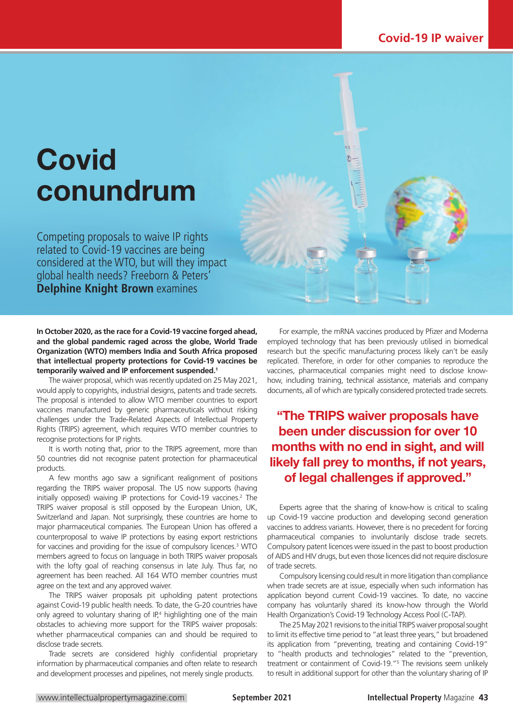# **Covid** conundrum

Competing proposals to waive IP rights related to Covid-19 vaccines are being considered at the WTO, but will they impact global health needs? Freeborn & Peters' **Delphine Knight Brown** examines

**In October 2020, as the race for a Covid-19 vaccine forged ahead, and the global pandemic raged across the globe, World Trade Organization (WTO) members India and South Africa proposed that intellectual property protections for Covid-19 vaccines be temporarily waived and IP enforcement suspended.1**

The waiver proposal, which was recently updated on 25 May 2021, would apply to copyrights, industrial designs, patents and trade secrets. The proposal is intended to allow WTO member countries to export vaccines manufactured by generic pharmaceuticals without risking challenges under the Trade-Related Aspects of Intellectual Property Rights (TRIPS) agreement, which requires WTO member countries to recognise protections for IP rights.

It is worth noting that, prior to the TRIPS agreement, more than 50 countries did not recognise patent protection for pharmaceutical products.

A few months ago saw a significant realignment of positions regarding the TRIPS waiver proposal. The US now supports (having initially opposed) waiving IP protections for Covid-19 vaccines.<sup>2</sup> The TRIPS waiver proposal is still opposed by the European Union, UK, Switzerland and Japan. Not surprisingly, these countries are home to major pharmaceutical companies. The European Union has offered a counterproposal to waive IP protections by easing export restrictions for vaccines and providing for the issue of compulsory licences.<sup>3</sup> WTO members agreed to focus on language in both TRIPS waiver proposals with the lofty goal of reaching consensus in late July. Thus far, no agreement has been reached. All 164 WTO member countries must agree on the text and any approved waiver.

The TRIPS waiver proposals pit upholding patent protections against Covid-19 public health needs. To date, the G-20 countries have only agreed to voluntary sharing of  $IP<sup>4</sup>$  highlighting one of the main obstacles to achieving more support for the TRIPS waiver proposals: whether pharmaceutical companies can and should be required to disclose trade secrets.

Trade secrets are considered highly confidential proprietary information by pharmaceutical companies and often relate to research and development processes and pipelines, not merely single products.

For example, the mRNA vaccines produced by Pfizer and Moderna employed technology that has been previously utilised in biomedical research but the specific manufacturing process likely can't be easily replicated. Therefore, in order for other companies to reproduce the vaccines, pharmaceutical companies might need to disclose knowhow, including training, technical assistance, materials and company documents, all of which are typically considered protected trade secrets.

## "The TRIPS waiver proposals have been under discussion for over 10 months with no end in sight, and will likely fall prey to months, if not years, of legal challenges if approved."

Experts agree that the sharing of know-how is critical to scaling up Covid-19 vaccine production and developing second generation vaccines to address variants. However, there is no precedent for forcing pharmaceutical companies to involuntarily disclose trade secrets. Compulsory patent licences were issued in the past to boost production of AIDS and HIV drugs, but even those licences did not require disclosure of trade secrets.

Compulsory licensing could result in more litigation than compliance when trade secrets are at issue, especially when such information has application beyond current Covid-19 vaccines. To date, no vaccine company has voluntarily shared its know-how through the World Health Organization's Covid-19 Technology Access Pool (C-TAP).

The 25 May 2021 revisions to the initial TRIPS waiver proposal sought to limit its effective time period to "at least three years," but broadened its application from "preventing, treating and containing Covid-19" to "health products and technologies" related to the "prevention, treatment or containment of Covid-19."5 The revisions seem unlikely to result in additional support for other than the voluntary sharing of IP